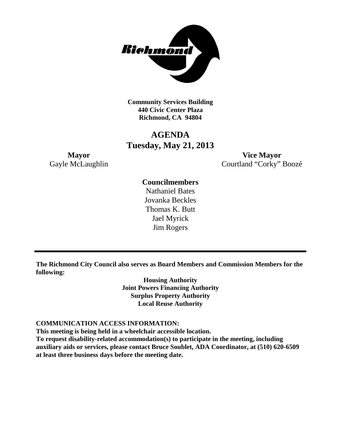

**Community Services Building 440 Civic Center Plaza Richmond, CA 94804**

# **AGENDA Tuesday, May 21, 2013**

**Mayor Vice Mayor** Gayle McLaughlin Courtland "Corky" Boozé

# **Councilmembers**

Nathaniel Bates Jovanka Beckles Thomas K. Butt Jael Myrick Jim Rogers

**The Richmond City Council also serves as Board Members and Commission Members for the following:**

> **Housing Authority Joint Powers Financing Authority Surplus Property Authority Local Reuse Authority**

#### **COMMUNICATION ACCESS INFORMATION:**

**This meeting is being held in a wheelchair accessible location.**

**To request disability-related accommodation(s) to participate in the meeting, including auxiliary aids or services, please contact Bruce Soublet, ADA Coordinator, at (510) 620-6509 at least three business days before the meeting date.**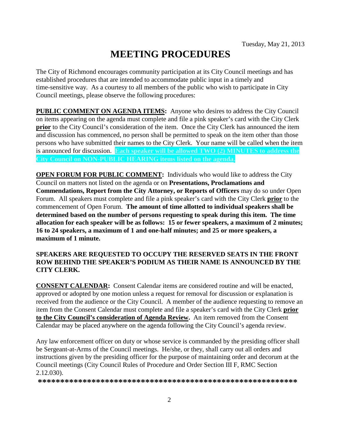# **MEETING PROCEDURES**

The City of Richmond encourages community participation at its City Council meetings and has established procedures that are intended to accommodate public input in a timely and time-sensitive way. As a courtesy to all members of the public who wish to participate in City Council meetings, please observe the following procedures:

**PUBLIC COMMENT ON AGENDA ITEMS:** Anyone who desires to address the City Council on items appearing on the agenda must complete and file a pink speaker's card with the City Clerk **prior** to the City Council's consideration of the item. Once the City Clerk has announced the item and discussion has commenced, no person shall be permitted to speak on the item other than those persons who have submitted their names to the City Clerk. Your name will be called when the item is announced for discussion. **Each speaker will be allowed TWO (2) MINUTES to address the City Council on NON-PUBLIC HEARING items listed on the agenda.**

**OPEN FORUM FOR PUBLIC COMMENT:** Individuals who would like to address the City Council on matters not listed on the agenda or on **Presentations, Proclamations and Commendations, Report from the City Attorney, or Reports of Officers** may do so under Open Forum. All speakers must complete and file a pink speaker's card with the City Clerk **prior** to the commencement of Open Forum. **The amount of time allotted to individual speakers shall be determined based on the number of persons requesting to speak during this item. The time allocation for each speaker will be as follows: 15 or fewer speakers, a maximum of 2 minutes; 16 to 24 speakers, a maximum of 1 and one-half minutes; and 25 or more speakers, a maximum of 1 minute.**

# **SPEAKERS ARE REQUESTED TO OCCUPY THE RESERVED SEATS IN THE FRONT ROW BEHIND THE SPEAKER'S PODIUM AS THEIR NAME IS ANNOUNCED BY THE CITY CLERK.**

**CONSENT CALENDAR:** Consent Calendar items are considered routine and will be enacted, approved or adopted by one motion unless a request for removal for discussion or explanation is received from the audience or the City Council. A member of the audience requesting to remove an item from the Consent Calendar must complete and file a speaker's card with the City Clerk **prior to the City Council's consideration of Agenda Review.** An item removed from the Consent Calendar may be placed anywhere on the agenda following the City Council's agenda review.

Any law enforcement officer on duty or whose service is commanded by the presiding officer shall be Sergeant-at-Arms of the Council meetings. He/she, or they, shall carry out all orders and instructions given by the presiding officer for the purpose of maintaining order and decorum at the Council meetings (City Council Rules of Procedure and Order Section III F, RMC Section 2.12.030).

**\*\*\*\*\*\*\*\*\*\*\*\*\*\*\*\*\*\*\*\*\*\*\*\*\*\*\*\*\*\*\*\*\*\*\*\*\*\*\*\*\*\*\*\*\*\*\*\*\*\*\*\*\*\*\*\*\*\***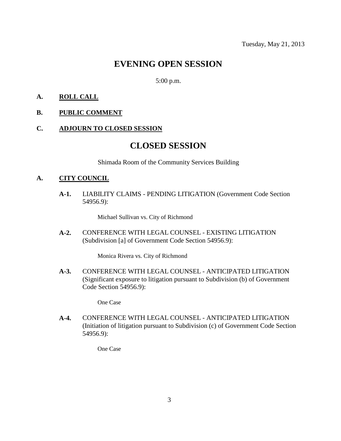# **EVENING OPEN SESSION**

5:00 p.m.

### **A. ROLL CALL**

#### **B. PUBLIC COMMENT**

#### **C. ADJOURN TO CLOSED SESSION**

# **CLOSED SESSION**

Shimada Room of the Community Services Building

#### **A. CITY COUNCIL**

**A-1.** LIABILITY CLAIMS - PENDING LITIGATION (Government Code Section 54956.9):

Michael Sullivan vs. City of Richmond

**A-2.** CONFERENCE WITH LEGAL COUNSEL - EXISTING LITIGATION (Subdivision [a] of Government Code Section 54956.9):

Monica Rivera vs. City of Richmond

**A-3.** CONFERENCE WITH LEGAL COUNSEL - ANTICIPATED LITIGATION (Significant exposure to litigation pursuant to Subdivision (b) of Government Code Section 54956.9):

One Case

**A-4.** CONFERENCE WITH LEGAL COUNSEL - ANTICIPATED LITIGATION (Initiation of litigation pursuant to Subdivision (c) of Government Code Section 54956.9):

One Case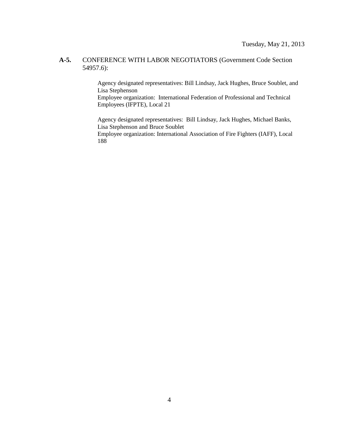#### **A-5.** CONFERENCE WITH LABOR NEGOTIATORS (Government Code Section 54957.6):

Agency designated representatives: Bill Lindsay, Jack Hughes, Bruce Soublet, and Lisa Stephenson

Employee organization: International Federation of Professional and Technical Employees (IFPTE), Local 21

Agency designated representatives: Bill Lindsay, Jack Hughes, Michael Banks, Lisa Stephenson and Bruce Soublet

Employee organization: International Association of Fire Fighters (IAFF), Local 188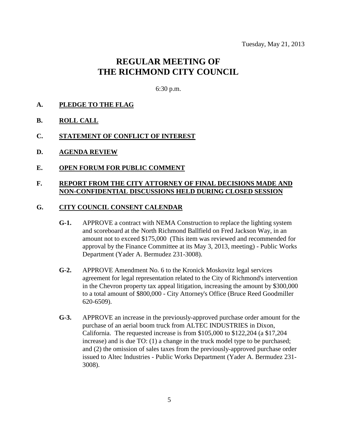# **REGULAR MEETING OF THE RICHMOND CITY COUNCIL**

6:30 p.m.

- **A. PLEDGE TO THE FLAG**
- **B. ROLL CALL**
- **C. STATEMENT OF CONFLICT OF INTEREST**
- **D. AGENDA REVIEW**
- **E. OPEN FORUM FOR PUBLIC COMMENT**

### **F. REPORT FROM THE CITY ATTORNEY OF FINAL DECISIONS MADE AND NON-CONFIDENTIAL DISCUSSIONS HELD DURING CLOSED SESSION**

#### **G. CITY COUNCIL CONSENT CALENDAR**

- **G-1.** APPROVE a contract with NEMA Construction to replace the lighting system and scoreboard at the North Richmond Ballfield on Fred Jackson Way, in an amount not to exceed \$175,000 (This item was reviewed and recommended for approval by the Finance Committee at its May 3, 2013, meeting) - Public Works Department (Yader A. Bermudez 231-3008).
- **G-2.** APPROVE Amendment No. 6 to the Kronick Moskovitz legal services agreement for legal representation related to the City of Richmond's intervention in the Chevron property tax appeal litigation, increasing the amount by \$300,000 to a total amount of \$800,000 - City Attorney's Office (Bruce Reed Goodmiller 620-6509).
- **G-3.** APPROVE an increase in the previously-approved purchase order amount for the purchase of an aerial boom truck from ALTEC INDUSTRIES in Dixon, California. The requested increase is from \$105,000 to \$122,204 (a \$17,204 increase) and is due TO: (1) a change in the truck model type to be purchased; and (2) the omission of sales taxes from the previously-approved purchase order issued to Altec Industries - Public Works Department (Yader A. Bermudez 231- 3008).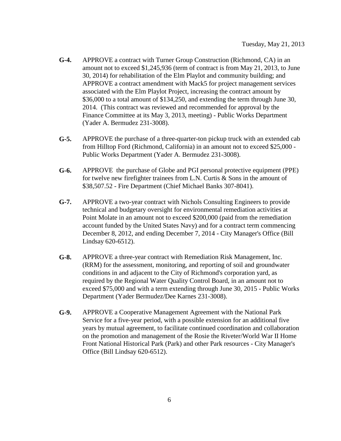- **G-4.** APPROVE a contract with Turner Group Construction (Richmond, CA) in an amount not to exceed \$1,245,936 (term of contract is from May 21, 2013, to June 30, 2014) for rehabilitation of the Elm Playlot and community building; and APPROVE a contract amendment with Mack5 for project management services associated with the Elm Playlot Project, increasing the contract amount by \$36,000 to a total amount of \$134,250, and extending the term through June 30, 2014. (This contract was reviewed and recommended for approval by the Finance Committee at its May 3, 2013, meeting) - Public Works Department (Yader A. Bermudez 231-3008).
- **G-5.** APPROVE the purchase of a three-quarter-ton pickup truck with an extended cab from Hilltop Ford (Richmond, California) in an amount not to exceed \$25,000 - Public Works Department (Yader A. Bermudez 231-3008).
- **G-6.** APPROVE the purchase of Globe and PGI personal protective equipment (PPE) for twelve new firefighter trainees from L.N. Curtis & Sons in the amount of \$38,507.52 - Fire Department (Chief Michael Banks 307-8041).
- **G-7.** APPROVE a two-year contract with Nichols Consulting Engineers to provide technical and budgetary oversight for environmental remediation activities at Point Molate in an amount not to exceed \$200,000 (paid from the remediation account funded by the United States Navy) and for a contract term commencing December 8, 2012, and ending December 7, 2014 - City Manager's Office (Bill Lindsay 620-6512).
- **G-8.** APPROVE a three-year contract with Remediation Risk Management, Inc. (RRM) for the assessment, monitoring, and reporting of soil and groundwater conditions in and adjacent to the City of Richmond's corporation yard, as required by the Regional Water Quality Control Board, in an amount not to exceed \$75,000 and with a term extending through June 30, 2015 - Public Works Department (Yader Bermudez/Dee Karnes 231-3008).
- **G-9.** APPROVE a Cooperative Management Agreement with the National Park Service for a five-year period, with a possible extension for an additional five years by mutual agreement, to facilitate continued coordination and collaboration on the promotion and management of the Rosie the Riveter/World War II Home Front National Historical Park (Park) and other Park resources - City Manager's Office (Bill Lindsay 620-6512).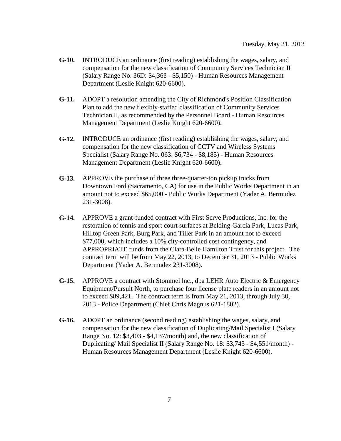- **G-10.** INTRODUCE an ordinance (first reading) establishing the wages, salary, and compensation for the new classification of Community Services Technician II (Salary Range No. 36D: \$4,363 - \$5,150) - Human Resources Management Department (Leslie Knight 620-6600).
- **G-11.** ADOPT a resolution amending the City of Richmond's Position Classification Plan to add the new flexibly-staffed classification of Community Services Technician II, as recommended by the Personnel Board - Human Resources Management Department (Leslie Knight 620-6600).
- **G-12.** INTRODUCE an ordinance (first reading) establishing the wages, salary, and compensation for the new classification of CCTV and Wireless Systems Specialist (Salary Range No. 063: \$6,734 - \$8,185) - Human Resources Management Department (Leslie Knight 620-6600).
- **G-13.** APPROVE the purchase of three three-quarter-ton pickup trucks from Downtown Ford (Sacramento, CA) for use in the Public Works Department in an amount not to exceed \$65,000 - Public Works Department (Yader A. Bermudez 231-3008).
- **G-14.** APPROVE a grant-funded contract with First Serve Productions, Inc. for the restoration of tennis and sport court surfaces at Belding-Garcia Park, Lucas Park, Hilltop Green Park, Burg Park, and Tiller Park in an amount not to exceed \$77,000, which includes a 10% city-controlled cost contingency, and APPROPRIATE funds from the Clara-Belle Hamilton Trust for this project. The contract term will be from May 22, 2013, to December 31, 2013 - Public Works Department (Yader A. Bermudez 231-3008).
- **G-15.** APPROVE a contract with Stommel lnc., dba LEHR Auto Electric & Emergency Equipment/Pursuit North, to purchase four license plate readers in an amount not to exceed \$89,421. The contract term is from May 21, 2013, through July 30, 2013 - Police Department (Chief Chris Magnus 621-1802).
- **G-16.** ADOPT an ordinance (second reading) establishing the wages, salary, and compensation for the new classification of Duplicating/Mail Specialist I (Salary Range No. 12: \$3,403 - \$4,137/month) and, the new classification of Duplicating/ Mail Specialist II (Salary Range No. 18: \$3,743 - \$4,551/month) - Human Resources Management Department (Leslie Knight 620-6600).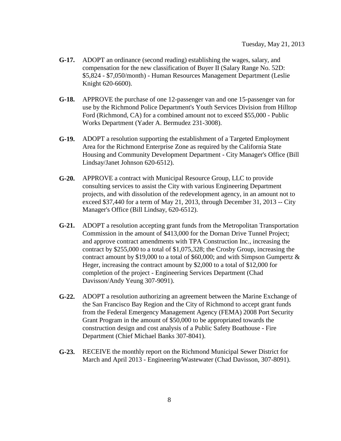- **G-17.** ADOPT an ordinance (second reading) establishing the wages, salary, and compensation for the new classification of Buyer II (Salary Range No. 52D: \$5,824 - \$7,050/month) - Human Resources Management Department (Leslie Knight 620-6600).
- **G-18.** APPROVE the purchase of one 12-passenger van and one 15-passenger van for use by the Richmond Police Department's Youth Services Division from Hilltop Ford (Richmond, CA) for a combined amount not to exceed \$55,000 - Public Works Department (Yader A. Bermudez 231-3008).
- **G-19.** ADOPT a resolution supporting the establishment of a Targeted Employment Area for the Richmond Enterprise Zone as required by the California State Housing and Community Development Department - City Manager's Office (Bill Lindsay/Janet Johnson 620-6512).
- **G-20.** APPROVE a contract with Municipal Resource Group, LLC to provide consulting services to assist the City with various Engineering Department projects, and with dissolution of the redevelopment agency, in an amount not to exceed \$37,440 for a term of May 21, 2013, through December 31, 2013 -- City Manager's Office (Bill Lindsay, 620-6512).
- **G-21.** ADOPT a resolution accepting grant funds from the Metropolitan Transportation Commission in the amount of \$413,000 for the Dornan Drive Tunnel Project; and approve contract amendments with TPA Construction Inc., increasing the contract by \$255,000 to a total of \$1,075,328; the Crosby Group, increasing the contract amount by \$19,000 to a total of \$60,000; and with Simpson Gumpertz & Heger, increasing the contract amount by \$2,000 to a total of \$12,000 for completion of the project - Engineering Services Department (Chad Davisson/Andy Yeung 307-9091).
- **G-22.** ADOPT a resolution authorizing an agreement between the Marine Exchange of the San Francisco Bay Region and the City of Richmond to accept grant funds from the Federal Emergency Management Agency (FEMA) 2008 Port Security Grant Program in the amount of \$50,000 to be appropriated towards the construction design and cost analysis of a Public Safety Boathouse - Fire Department (Chief Michael Banks 307-8041).
- **G-23.** RECEIVE the monthly report on the Richmond Municipal Sewer District for March and April 2013 - Engineering/Wastewater (Chad Davisson, 307-8091).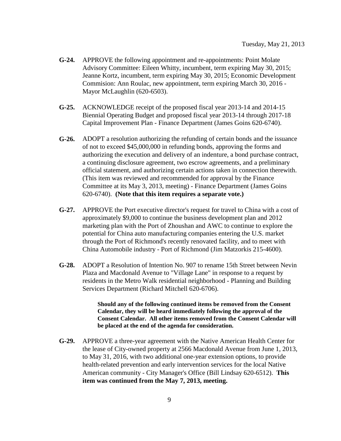- **G-24.** APPROVE the following appointment and re-appointments: Point Molate Advisory Committee: Eileen Whitty, incumbent, term expiring May 30, 2015; Jeanne Kortz, incumbent, term expiring May 30, 2015; Economic Development Commision: Ann Roulac, new appointment, term expiring March 30, 2016 - Mayor McLaughlin (620-6503).
- **G-25.** ACKNOWLEDGE receipt of the proposed fiscal year 2013-14 and 2014-15 Biennial Operating Budget and proposed fiscal year 2013-14 through 2017-18 Capital Improvement Plan - Finance Department (James Goins 620-6740).
- **G-26.** ADOPT a resolution authorizing the refunding of certain bonds and the issuance of not to exceed \$45,000,000 in refunding bonds, approving the forms and authorizing the execution and delivery of an indenture, a bond purchase contract, a continuing disclosure agreement, two escrow agreements, and a preliminary official statement, and authorizing certain actions taken in connection therewith. (This item was reviewed and recommended for approval by the Finance Committee at its May 3, 2013, meeting) - Finance Department (James Goins 620-6740). **(Note that this item requires a separate vote.)**
- **G-27.** APPROVE the Port executive director's request for travel to China with a cost of approximately \$9,000 to continue the business development plan and 2012 marketing plan with the Port of Zhoushan and AWC to continue to explore the potential for China auto manufacturing companies entering the U.S. market through the Port of Richmond's recently renovated facility, and to meet with China Automobile industry - Port of Richmond (Jim Matzorkis 215-4600).
- **G-28.** ADOPT a Resolution of Intention No. 907 to rename 15th Street between Nevin Plaza and Macdonald Avenue to "Village Lane" in response to a request by residents in the Metro Walk residential neighborhood - Planning and Building Services Department (Richard Mitchell 620-6706).

**Should any of the following continued items be removed from the Consent Calendar, they will be heard immediately following the approval of the Consent Calendar. All other items removed from the Consent Calendar will be placed at the end of the agenda for consideration.**

**G-29.** APPROVE a three-year agreement with the Native American Health Center for the lease of City-owned property at 2566 Macdonald Avenue from June 1, 2013, to May 31, 2016, with two additional one-year extension options, to provide health-related prevention and early intervention services for the local Native American community - City Manager's Office (Bill Lindsay 620-6512). **This item was continued from the May 7, 2013, meeting.**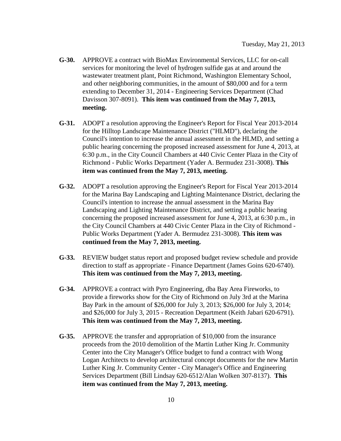- **G-30.** APPROVE a contract with BioMax Environmental Services, LLC for on-call services for monitoring the level of hydrogen sulfide gas at and around the wastewater treatment plant, Point Richmond, Washington Elementary School, and other neighboring communities, in the amount of \$80,000 and for a term extending to December 31, 2014 - Engineering Services Department (Chad Davisson 307-8091). **This item was continued from the May 7, 2013, meeting.**
- **G-31.** ADOPT a resolution approving the Engineer's Report for Fiscal Year 2013-2014 for the Hilltop Landscape Maintenance District ("HLMD"), declaring the Council's intention to increase the annual assessment in the HLMD, and setting a public hearing concerning the proposed increased assessment for June 4, 2013, at 6:30 p.m., in the City Council Chambers at 440 Civic Center Plaza in the City of Richmond - Public Works Department (Yader A. Bermudez 231-3008). **This item was continued from the May 7, 2013, meeting.**
- **G-32.** ADOPT a resolution approving the Engineer's Report for Fiscal Year 2013-2014 for the Marina Bay Landscaping and Lighting Maintenance District, declaring the Council's intention to increase the annual assessment in the Marina Bay Landscaping and Lighting Maintenance District, and setting a public hearing concerning the proposed increased assessment for June 4, 2013, at 6:30 p.m., in the City Council Chambers at 440 Civic Center Plaza in the City of Richmond - Public Works Department (Yader A. Bermudez 231-3008). **This item was continued from the May 7, 2013, meeting.**
- **G-33.** REVIEW budget status report and proposed budget review schedule and provide direction to staff as appropriate - Finance Department (James Goins 620-6740). **This item was continued from the May 7, 2013, meeting.**
- **G-34.** APPROVE a contract with Pyro Engineering, dba Bay Area Fireworks, to provide a fireworks show for the City of Richmond on July 3rd at the Marina Bay Park in the amount of \$26,000 for July 3, 2013; \$26,000 for July 3, 2014; and \$26,000 for July 3, 2015 - Recreation Department (Keith Jabari 620-6791). **This item was continued from the May 7, 2013, meeting.**
- **G-35.** APPROVE the transfer and appropriation of \$10,000 from the insurance proceeds from the 2010 demolition of the Martin Luther King Jr. Community Center into the City Manager's Office budget to fund a contract with Wong Logan Architects to develop architectural concept documents for the new Martin Luther King Jr. Community Center - City Manager's Office and Engineering Services Department (Bill Lindsay 620-6512/Alan Wolken 307-8137). **This item was continued from the May 7, 2013, meeting.**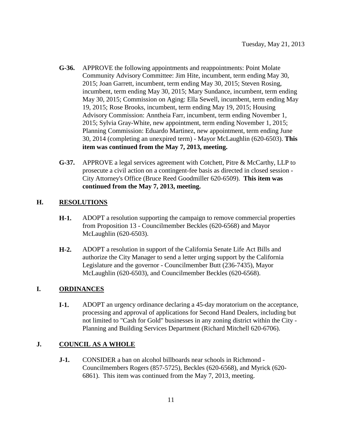- **G-36.** APPROVE the following appointments and reappointments: Point Molate Community Advisory Committee: Jim Hite, incumbent, term ending May 30, 2015; Joan Garrett, incumbent, term ending May 30, 2015; Steven Rosing, incumbent, term ending May 30, 2015; Mary Sundance, incumbent, term ending May 30, 2015; Commission on Aging: Ella Sewell, incumbent, term ending May 19, 2015; Rose Brooks, incumbent, term ending May 19, 2015; Housing Advisory Commission: Anntheia Farr, incumbent, term ending November 1, 2015; Sylvia Gray-White, new appointment, term ending November 1, 2015; Planning Commission: Eduardo Martinez, new appointment, term ending June 30, 2014 (completing an unexpired term) - Mayor McLaughlin (620-6503). **This item was continued from the May 7, 2013, meeting.**
- **G-37.** APPROVE a legal services agreement with Cotchett, Pitre & McCarthy, LLP to prosecute a civil action on a contingent-fee basis as directed in closed session - City Attorney's Office (Bruce Reed Goodmiller 620-6509). **This item was continued from the May 7, 2013, meeting.**

# **H. RESOLUTIONS**

- **H-1.** ADOPT a resolution supporting the campaign to remove commercial properties from Proposition 13 - Councilmember Beckles (620-6568) and Mayor McLaughlin (620-6503).
- **H-2.** ADOPT a resolution in support of the California Senate Life Act Bills and authorize the City Manager to send a letter urging support by the California Legislature and the governor - Councilmember Butt (236-7435), Mayor McLaughlin (620-6503), and Councilmember Beckles (620-6568).

# **I. ORDINANCES**

**I-1.** ADOPT an urgency ordinance declaring a 45-day moratorium on the acceptance, processing and approval of applications for Second Hand Dealers, including but not limited to "Cash for Gold" businesses in any zoning district within the City - Planning and Building Services Department (Richard Mitchell 620-6706).

# **J. COUNCIL AS A WHOLE**

**J-1.** CONSIDER a ban on alcohol billboards near schools in Richmond - Councilmembers Rogers (857-5725), Beckles (620-6568), and Myrick (620- 6861). This item was continued from the May 7, 2013, meeting.